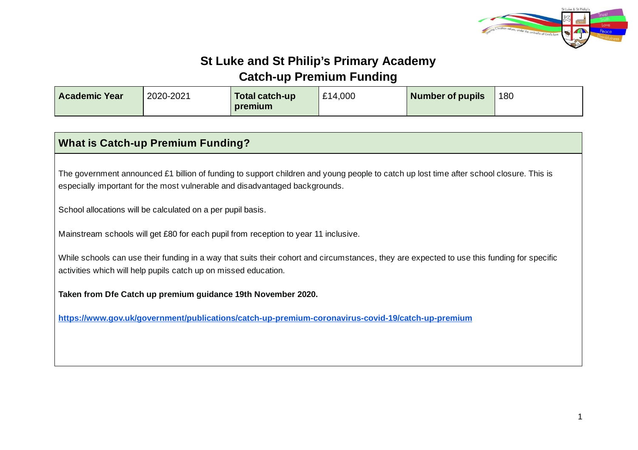

## **St Luke and St Philip's Primary Academy Catch-up Premium Funding**

| <b>Academic Year</b> | 2020-2021 | Total catch-up<br>premium | £14,000 | Number of pupils | 180 |
|----------------------|-----------|---------------------------|---------|------------------|-----|
|                      |           |                           |         |                  |     |

| <b>What is Catch-up Premium Funding?</b>                                                                                                                                                                               |  |  |  |  |
|------------------------------------------------------------------------------------------------------------------------------------------------------------------------------------------------------------------------|--|--|--|--|
| The government announced £1 billion of funding to support children and young people to catch up lost time after school closure. This is<br>especially important for the most vulnerable and disadvantaged backgrounds. |  |  |  |  |
| School allocations will be calculated on a per pupil basis.                                                                                                                                                            |  |  |  |  |
| Mainstream schools will get £80 for each pupil from reception to year 11 inclusive.                                                                                                                                    |  |  |  |  |
| While schools can use their funding in a way that suits their cohort and circumstances, they are expected to use this funding for specific<br>activities which will help pupils catch up on missed education.          |  |  |  |  |
| Taken from Dfe Catch up premium guidance 19th November 2020.                                                                                                                                                           |  |  |  |  |
| https://www.gov.uk/government/publications/catch-up-premium-coronavirus-covid-19/catch-up-premium                                                                                                                      |  |  |  |  |
|                                                                                                                                                                                                                        |  |  |  |  |
|                                                                                                                                                                                                                        |  |  |  |  |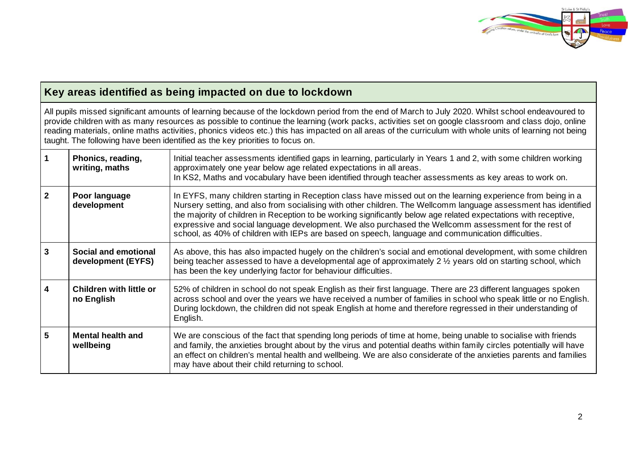

|                         | Key areas identified as being impacted on due to lockdown                                                                                                                                                                                                                                                                                                                                                                                                                                                                                             |                                                                                                                                                                                                                                                                                                                                                                                                                                                                                                                                                                     |  |  |  |  |
|-------------------------|-------------------------------------------------------------------------------------------------------------------------------------------------------------------------------------------------------------------------------------------------------------------------------------------------------------------------------------------------------------------------------------------------------------------------------------------------------------------------------------------------------------------------------------------------------|---------------------------------------------------------------------------------------------------------------------------------------------------------------------------------------------------------------------------------------------------------------------------------------------------------------------------------------------------------------------------------------------------------------------------------------------------------------------------------------------------------------------------------------------------------------------|--|--|--|--|
|                         | All pupils missed significant amounts of learning because of the lockdown period from the end of March to July 2020. Whilst school endeavoured to<br>provide children with as many resources as possible to continue the learning (work packs, activities set on google classroom and class dojo, online<br>reading materials, online maths activities, phonics videos etc.) this has impacted on all areas of the curriculum with whole units of learning not being<br>taught. The following have been identified as the key priorities to focus on. |                                                                                                                                                                                                                                                                                                                                                                                                                                                                                                                                                                     |  |  |  |  |
| $\mathbf{1}$            | Phonics, reading,<br>writing, maths                                                                                                                                                                                                                                                                                                                                                                                                                                                                                                                   | Initial teacher assessments identified gaps in learning, particularly in Years 1 and 2, with some children working<br>approximately one year below age related expectations in all areas.<br>In KS2, Maths and vocabulary have been identified through teacher assessments as key areas to work on.                                                                                                                                                                                                                                                                 |  |  |  |  |
| $\overline{2}$          | Poor language<br>development                                                                                                                                                                                                                                                                                                                                                                                                                                                                                                                          | In EYFS, many children starting in Reception class have missed out on the learning experience from being in a<br>Nursery setting, and also from socialising with other children. The Wellcomm language assessment has identified<br>the majority of children in Reception to be working significantly below age related expectations with receptive,<br>expressive and social language development. We also purchased the Wellcomm assessment for the rest of<br>school, as 40% of children with IEPs are based on speech, language and communication difficulties. |  |  |  |  |
| $\overline{3}$          | Social and emotional<br>development (EYFS)                                                                                                                                                                                                                                                                                                                                                                                                                                                                                                            | As above, this has also impacted hugely on the children's social and emotional development, with some children<br>being teacher assessed to have a developmental age of approximately 2 1/2 years old on starting school, which<br>has been the key underlying factor for behaviour difficulties.                                                                                                                                                                                                                                                                   |  |  |  |  |
| $\overline{\mathbf{4}}$ | <b>Children with little or</b><br>no English                                                                                                                                                                                                                                                                                                                                                                                                                                                                                                          | 52% of children in school do not speak English as their first language. There are 23 different languages spoken<br>across school and over the years we have received a number of families in school who speak little or no English.<br>During lockdown, the children did not speak English at home and therefore regressed in their understanding of<br>English.                                                                                                                                                                                                    |  |  |  |  |
| 5                       | <b>Mental health and</b><br>wellbeing                                                                                                                                                                                                                                                                                                                                                                                                                                                                                                                 | We are conscious of the fact that spending long periods of time at home, being unable to socialise with friends<br>and family, the anxieties brought about by the virus and potential deaths within family circles potentially will have<br>an effect on children's mental health and wellbeing. We are also considerate of the anxieties parents and families<br>may have about their child returning to school.                                                                                                                                                   |  |  |  |  |

Г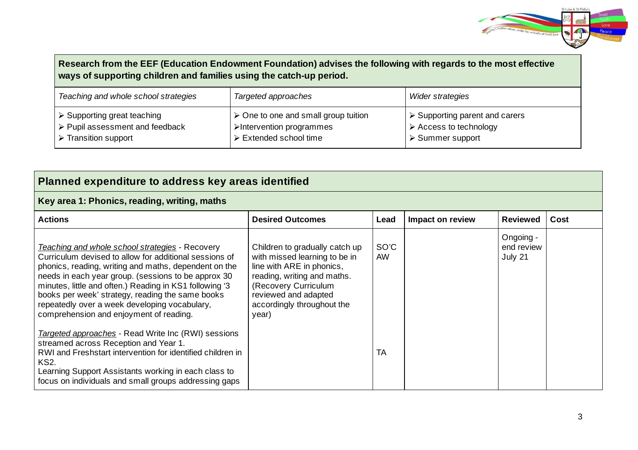

| Research from the EEF (Education Endowment Foundation) advises the following with regards to the most effective<br>ways of supporting children and families using the catch-up period. |                                                                                                                          |                                                                                                                           |  |  |  |
|----------------------------------------------------------------------------------------------------------------------------------------------------------------------------------------|--------------------------------------------------------------------------------------------------------------------------|---------------------------------------------------------------------------------------------------------------------------|--|--|--|
| Teaching and whole school strategies                                                                                                                                                   | Targeted approaches                                                                                                      | <b>Wider strategies</b>                                                                                                   |  |  |  |
| $\triangleright$ Supporting great teaching<br>$\triangleright$ Pupil assessment and feedback<br>$\triangleright$ Transition support                                                    | $\triangleright$ One to one and small group tuition<br>>Intervention programmes<br>$\triangleright$ Extended school time | $\triangleright$ Supporting parent and carers<br>$\triangleright$ Access to technology<br>$\triangleright$ Summer support |  |  |  |

| Planned expenditure to address key areas identified                                                                                                                                                                                                                                                                                                                                                                                  |                                                                                                                                                                                                                    |                   |                  |                                    |      |  |
|--------------------------------------------------------------------------------------------------------------------------------------------------------------------------------------------------------------------------------------------------------------------------------------------------------------------------------------------------------------------------------------------------------------------------------------|--------------------------------------------------------------------------------------------------------------------------------------------------------------------------------------------------------------------|-------------------|------------------|------------------------------------|------|--|
| Key area 1: Phonics, reading, writing, maths                                                                                                                                                                                                                                                                                                                                                                                         |                                                                                                                                                                                                                    |                   |                  |                                    |      |  |
| <b>Actions</b>                                                                                                                                                                                                                                                                                                                                                                                                                       | <b>Desired Outcomes</b>                                                                                                                                                                                            | Lead              | Impact on review | <b>Reviewed</b>                    | Cost |  |
| Teaching and whole school strategies - Recovery<br>Curriculum devised to allow for additional sessions of<br>phonics, reading, writing and maths, dependent on the<br>needs in each year group. (sessions to be approx 30<br>minutes, little and often.) Reading in KS1 following '3<br>books per week' strategy, reading the same books<br>repeatedly over a week developing vocabulary,<br>comprehension and enjoyment of reading. | Children to gradually catch up<br>with missed learning to be in<br>line with ARE in phonics,<br>reading, writing and maths.<br>(Recovery Curriculum<br>reviewed and adapted<br>accordingly throughout the<br>year) | SO'C<br><b>AW</b> |                  | Ongoing -<br>end review<br>July 21 |      |  |
| Targeted approaches - Read Write Inc (RWI) sessions<br>streamed across Reception and Year 1.<br>RWI and Freshstart intervention for identified children in<br><b>KS2.</b><br>Learning Support Assistants working in each class to<br>focus on individuals and small groups addressing gaps                                                                                                                                           |                                                                                                                                                                                                                    | <b>TA</b>         |                  |                                    |      |  |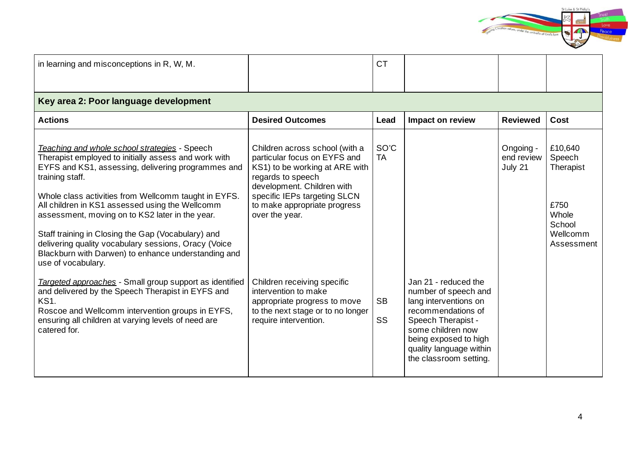

| in learning and misconceptions in R, W, M.                                                                                                                                                                                                                                                                                                                                                                                                                                                                                              |                                                                                                                                                                                                                                       | <b>CT</b>              |                                                                                                                                                                                                                      |                                    |                                                                                     |  |  |
|-----------------------------------------------------------------------------------------------------------------------------------------------------------------------------------------------------------------------------------------------------------------------------------------------------------------------------------------------------------------------------------------------------------------------------------------------------------------------------------------------------------------------------------------|---------------------------------------------------------------------------------------------------------------------------------------------------------------------------------------------------------------------------------------|------------------------|----------------------------------------------------------------------------------------------------------------------------------------------------------------------------------------------------------------------|------------------------------------|-------------------------------------------------------------------------------------|--|--|
| Key area 2: Poor language development                                                                                                                                                                                                                                                                                                                                                                                                                                                                                                   |                                                                                                                                                                                                                                       |                        |                                                                                                                                                                                                                      |                                    |                                                                                     |  |  |
| <b>Actions</b>                                                                                                                                                                                                                                                                                                                                                                                                                                                                                                                          | <b>Desired Outcomes</b>                                                                                                                                                                                                               | Lead                   | Impact on review                                                                                                                                                                                                     | <b>Reviewed</b>                    | Cost                                                                                |  |  |
| Teaching and whole school strategies - Speech<br>Therapist employed to initially assess and work with<br>EYFS and KS1, assessing, delivering programmes and<br>training staff.<br>Whole class activities from Wellcomm taught in EYFS.<br>All children in KS1 assessed using the Wellcomm<br>assessment, moving on to KS2 later in the year.<br>Staff training in Closing the Gap (Vocabulary) and<br>delivering quality vocabulary sessions, Oracy (Voice<br>Blackburn with Darwen) to enhance understanding and<br>use of vocabulary. | Children across school (with a<br>particular focus on EYFS and<br>KS1) to be working at ARE with<br>regards to speech<br>development. Children with<br>specific IEPs targeting SLCN<br>to make appropriate progress<br>over the year. | SO'C<br><b>TA</b>      |                                                                                                                                                                                                                      | Ongoing -<br>end review<br>July 21 | £10,640<br>Speech<br>Therapist<br>£750<br>Whole<br>School<br>Wellcomm<br>Assessment |  |  |
| Targeted approaches - Small group support as identified<br>and delivered by the Speech Therapist in EYFS and<br><b>KS1.</b><br>Roscoe and Wellcomm intervention groups in EYFS,<br>ensuring all children at varying levels of need are<br>catered for.                                                                                                                                                                                                                                                                                  | Children receiving specific<br>intervention to make<br>appropriate progress to move<br>to the next stage or to no longer<br>require intervention.                                                                                     | <b>SB</b><br><b>SS</b> | Jan 21 - reduced the<br>number of speech and<br>lang interventions on<br>recommendations of<br>Speech Therapist -<br>some children now<br>being exposed to high<br>quality language within<br>the classroom setting. |                                    |                                                                                     |  |  |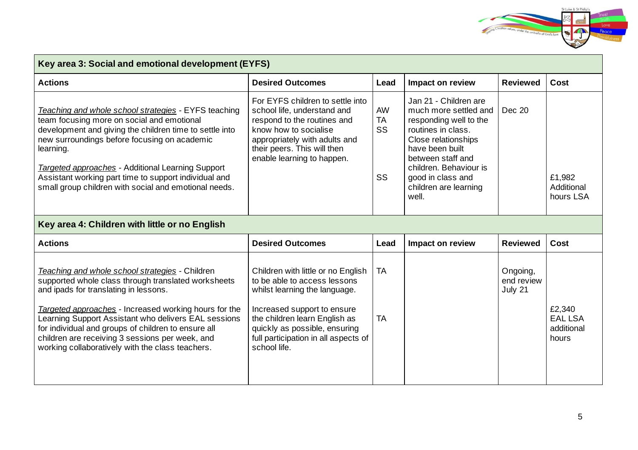

| Key area 3: Social and emotional development (EYFS)                                                                                                                                                                                                                                                                                                                                                                            |                                                                                                                                                                                                                                                              |                             |                                                                                                                                                                                                                                                |                                   |                                                 |  |
|--------------------------------------------------------------------------------------------------------------------------------------------------------------------------------------------------------------------------------------------------------------------------------------------------------------------------------------------------------------------------------------------------------------------------------|--------------------------------------------------------------------------------------------------------------------------------------------------------------------------------------------------------------------------------------------------------------|-----------------------------|------------------------------------------------------------------------------------------------------------------------------------------------------------------------------------------------------------------------------------------------|-----------------------------------|-------------------------------------------------|--|
| <b>Actions</b>                                                                                                                                                                                                                                                                                                                                                                                                                 | <b>Desired Outcomes</b>                                                                                                                                                                                                                                      | Lead                        | Impact on review                                                                                                                                                                                                                               | <b>Reviewed</b>                   | Cost                                            |  |
| Teaching and whole school strategies - EYFS teaching<br>team focusing more on social and emotional<br>development and giving the children time to settle into<br>new surroundings before focusing on academic<br>learning.<br><b>Targeted approaches</b> - Additional Learning Support<br>Assistant working part time to support individual and<br>small group children with social and emotional needs.                       | For EYFS children to settle into<br>school life, understand and<br>respond to the routines and<br>know how to socialise<br>appropriately with adults and<br>their peers. This will then<br>enable learning to happen.                                        | AW<br><b>TA</b><br>SS<br>SS | Jan 21 - Children are<br>much more settled and<br>responding well to the<br>routines in class.<br>Close relationships<br>have been built<br>between staff and<br>children. Behaviour is<br>good in class and<br>children are learning<br>well. | <b>Dec 20</b>                     | £1,982<br>Additional<br>hours LSA               |  |
| Key area 4: Children with little or no English                                                                                                                                                                                                                                                                                                                                                                                 |                                                                                                                                                                                                                                                              |                             |                                                                                                                                                                                                                                                |                                   |                                                 |  |
| <b>Actions</b>                                                                                                                                                                                                                                                                                                                                                                                                                 | <b>Desired Outcomes</b>                                                                                                                                                                                                                                      | Lead                        | <b>Impact on review</b>                                                                                                                                                                                                                        | <b>Reviewed</b>                   | Cost                                            |  |
| Teaching and whole school strategies - Children<br>supported whole class through translated worksheets<br>and ipads for translating in lessons.<br>Targeted approaches - Increased working hours for the<br>Learning Support Assistant who delivers EAL sessions<br>for individual and groups of children to ensure all<br>children are receiving 3 sessions per week, and<br>working collaboratively with the class teachers. | Children with little or no English<br>to be able to access lessons<br>whilst learning the language.<br>Increased support to ensure<br>the children learn English as<br>quickly as possible, ensuring<br>full participation in all aspects of<br>school life. | <b>TA</b><br><b>TA</b>      |                                                                                                                                                                                                                                                | Ongoing,<br>end review<br>July 21 | £2,340<br><b>EAL LSA</b><br>additional<br>hours |  |